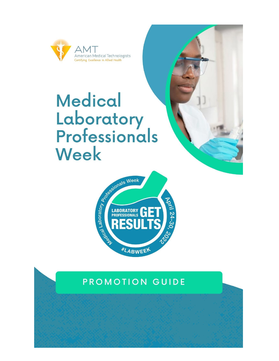

# **Medical Laboratory<br>Professionals** Week





### PROMOTION GUIDE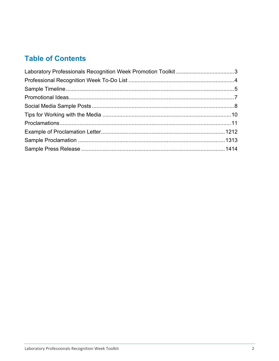#### **Table of Contents**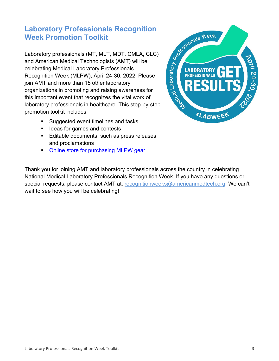## <span id="page-2-0"></span>**Week Promotion Toolkit**

**Laboratory Professionals Recognition**<br>
Week Promotion Toolkit<br>
Laboratory professionals (MT, MLT, MDT, CMLA, CLC)<br>
and American Medical Technologists (AMT) will be<br>
celebrating Medical Laboratory Professionals<br>
Recognitio Laboratory professionals (MT, MLT, MDT, CMLA, CLC) and American Medical Technologists (AMT) will be celebrating Medical Laboratory Professionals Recognition Week (MLPW), April 24-30, 2022. Please join AMT and more than 15 other laboratory organizations in promoting and raising awareness for this important event that recognizes the vital work of laboratory professionals in healthcare. This step-by-step promotion toolkit includes:

- Suggested event timelines and tasks
- Ideas for games and contests
- **Editable documents, such as press releases** and proclamations
- **[Online store for purchasing MLPW](https://www.jimcolemanstore.com/lab/products/lab-week-get-results.html) gear**



Thank you for joining AMT and laboratory professionals across the country in celebrating National Medical Laboratory Professionals Recognition Week. If you have any questions or special requests, please contact AMT at: [recognitionweeks@americanmedtech.org.](mailto:recognitionweeks@americanmedtech.org) We can't wait to see how you will be celebrating!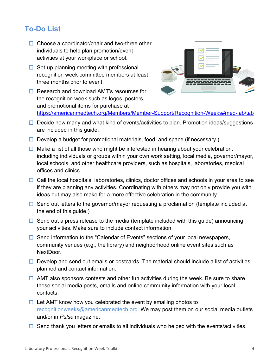#### <span id="page-3-0"></span>**To-Do List**

- $\Box$  Choose a coordinator/chair and two-three other individuals to help plan promotion/event activities at your workplace or school.
- $\Box$  Set-up planning meeting with professional recognition week committee members at least three months prior to event.
- $\Box$  Research and download AMT's resources for the recognition week such as logos, posters, and promotional items for purchase at



[https://americanmedtech.org/Members/Member-Support/Recognition-Weeks#med-lab/tab](https://americanmedtech.org/Members/Member-Support/Recognition-Weeks%23med-lab/tab)

- $\Box$  Decide how many and what kind of events/activities to plan. Promotion ideas/suggestions are included in this guide.
- $\Box$  Develop a budget for promotional materials, food, and space (if necessary.)
- $\Box$  Make a list of all those who might be interested in hearing about your celebration, including individuals or groups within your own work setting, local media, governor/mayor, local schools, and other healthcare providers, such as hospitals, laboratories, medical offices and clinics.
- $\Box$  Call the local hospitals, laboratories, clinics, doctor offices and schools in your area to see if they are planning any activities. Coordinating with others may not only provide you with ideas but may also make for a more effective celebration in the community.
- $\Box$  Send out letters to the governor/mayor requesting a proclamation (template included at the end of this guide.)
- $\Box$  Send out a press release to the media (template included with this guide) announcing your activities. Make sure to include contact information.
- $\Box$  Send information to the "Calendar of Events" sections of your local newspapers, community venues (e.g., the library) and neighborhood online event sites such as NextDoor.
- $\Box$  Develop and send out emails or postcards. The material should include a list of activities planned and contact information.
- $\Box$  AMT also sponsors contests and other fun activities during the week. Be sure to share these social media posts, emails and online community information with your local contacts.
- $\Box$  Let AMT know how you celebrated the event by emailing photos to [recognitionweeks@americanmedtech.org.](mailto:recognitionweeks@americanmedtech.org) We may post them on our social media outlets and/or in *Pulse* magazine.
- $\Box$  Send thank you letters or emails to all individuals who helped with the events/activities.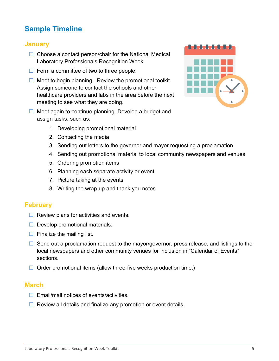#### <span id="page-4-0"></span>**Sample Timeline**

#### **January**

- $\Box$  Choose a contact person/chair for the National Medical Laboratory Professionals Recognition Week.
- $\Box$  Form a committee of two to three people.
- $\Box$  Meet to begin planning. Review the promotional toolkit. Assign someone to contact the schools and other healthcare providers and labs in the area before the next meeting to see what they are doing.
- $\Box$  Meet again to continue planning. Develop a budget and assign tasks, such as:
	- 1. Developing promotional material
	- 2. Contacting the media
	- 3. Sending out letters to the governor and mayor requesting a proclamation
	- 4. Sending out promotional material to local community newspapers and venues
	- 5. Ordering promotion items
	- 6. Planning each separate activity or event
	- 7. Picture taking at the events
	- 8. Writing the wrap-up and thank you notes

#### **February**

- $\Box$  Review plans for activities and events.
- $\Box$  Develop promotional materials.
- $\Box$  Finalize the mailing list.
- $\Box$  Send out a proclamation request to the mayor/governor, press release, and listings to the local newspapers and other community venues for inclusion in "Calendar of Events" sections.
- $\Box$  Order promotional items (allow three-five weeks production time.)

#### **March**

- $\Box$  Email/mail notices of events/activities.
- $\Box$  Review all details and finalize any promotion or event details.

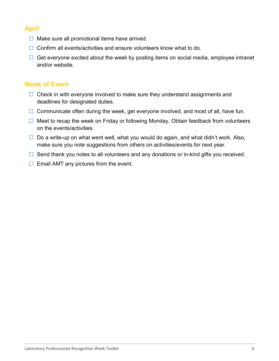#### **April**

- $\Box$  Make sure all promotional items have arrived.
- $\Box$  Confirm all events/activities and ensure volunteers know what to do.
- $\Box$  Get everyone excited about the week by posting items on social media, employee intranet and/or website.

#### **Week of Event**

- $\Box$  Check in with everyone involved to make sure they understand assignments and deadlines for designated duties.
- $\Box$  Communicate often during the week, get everyone involved, and most of all, have fun.
- $\Box$  Meet to recap the week on Friday or following Monday. Obtain feedback from volunteers on the events/activities.
- $\Box$  Do a write-up on what went well, what you would do again, and what didn't work. Also, make sure you note suggestions from others on activities/events for next year.
- $\Box$  Send thank you notes to all volunteers and any donations or in-kind gifts you received.
- <span id="page-5-0"></span> $\Box$  Email AMT any pictures from the event.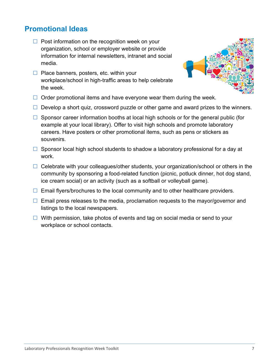#### **Promotional Ideas**

- $\Box$  Post information on the recognition week on your organization, school or employer website or provide information for internal newsletters, intranet and social media.
- $\Box$  Place banners, posters, etc. within your workplace/school in high-traffic areas to help celebrate the week.



- $\Box$  Order promotional items and have everyone wear them during the week.
- $\Box$  Develop a short quiz, crossword puzzle or other game and award prizes to the winners.
- $\Box$  Sponsor career information booths at local high schools or for the general public (for example at your local library). Offer to visit high schools and promote laboratory careers. Have posters or other promotional items, such as pens or stickers as souvenirs.
- $\Box$  Sponsor local high school students to shadow a laboratory professional for a day at work.
- $\Box$  Celebrate with your colleagues/other students, your organization/school or others in the community by sponsoring a food-related function (picnic, potluck dinner, hot dog stand, ice cream social) or an activity (such as a softball or volleyball game).
- $\Box$  Email flyers/brochures to the local community and to other healthcare providers.
- $\Box$  Email press releases to the media, proclamation requests to the mayor/governor and listings to the local newspapers.
- <span id="page-6-0"></span> $\Box$  With permission, take photos of events and tag on social media or send to your workplace or school contacts.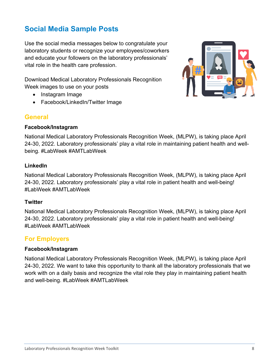#### **Social Media Sample Posts**

Use the social media messages below to congratulate your laboratory students or recognize your employees/coworkers and educate your followers on the laboratory professionals' vital role in the health care profession.

Download Medical Laboratory Professionals Recognition Week images to use on your posts

- Instagram Image
- Facebook/LinkedIn/Twitter Image

#### **General**

#### **Facebook/Instagram**

National Medical Laboratory Professionals Recognition Week, (MLPW), is taking place April 24-30, 2022. Laboratory professionals' play a vital role in maintaining patient health and wellbeing. #LabWeek #AMTLabWeek

#### **LinkedIn**

National Medical Laboratory Professionals Recognition Week, (MLPW), is taking place April 24-30, 2022. Laboratory professionals' play a vital role in patient health and well-being! #LabWeek #AMTLabWeek

#### **Twitter**

National Medical Laboratory Professionals Recognition Week, (MLPW), is taking place April 24-30, 2022. Laboratory professionals' play a vital role in patient health and well-being! #LabWeek #AMTLabWeek

#### **For Employers**

#### **Facebook/Instagram**

National Medical Laboratory Professionals Recognition Week, (MLPW), is taking place April 24-30, 2022. We want to take this opportunity to thank all the laboratory professionals that we work with on a daily basis and recognize the vital role they play in maintaining patient health and well-being. #LabWeek #AMTLabWeek

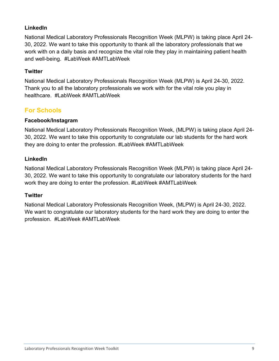#### **LinkedIn**

National Medical Laboratory Professionals Recognition Week (MLPW) is taking place April 24- 30, 2022. We want to take this opportunity to thank all the laboratory professionals that we work with on a daily basis and recognize the vital role they play in maintaining patient health and well-being. #LabWeek #AMTLabWeek

#### **Twitter**

National Medical Laboratory Professionals Recognition Week (MLPW) is April 24-30, 2022. Thank you to all the laboratory professionals we work with for the vital role you play in healthcare. #LabWeek #AMTLabWeek

#### **For Schools**

#### **Facebook/Instagram**

National Medical Laboratory Professionals Recognition Week, (MLPW) is taking place April 24- 30, 2022. We want to take this opportunity to congratulate our lab students for the hard work they are doing to enter the profession. #LabWeek #AMTLabWeek

#### **LinkedIn**

National Medical Laboratory Professionals Recognition Week (MLPW) is taking place April 24- 30, 2022. We want to take this opportunity to congratulate our laboratory students for the hard work they are doing to enter the profession. #LabWeek #AMTLabWeek

#### **Twitter**

<span id="page-8-0"></span>National Medical Laboratory Professionals Recognition Week, (MLPW) is April 24-30, 2022. We want to congratulate our laboratory students for the hard work they are doing to enter the profession. #LabWeek #AMTLabWeek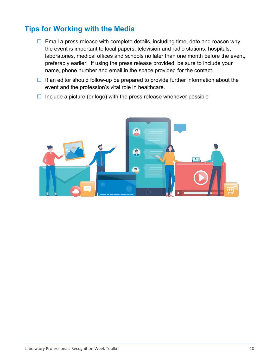#### **Tips for Working with the Media**

- $\Box$  Email a press release with complete details, including time, date and reason why the event is important to local papers, television and radio stations, hospitals, laboratories, medical offices and schools no later than one month before the event, preferably earlier. If using the press release provided, be sure to include your name, phone number and email in the space provided for the contact.
- $\Box$  If an editor should follow-up be prepared to provide further information about the event and the profession's vital role in healthcare.
- <span id="page-9-0"></span> $\Box$  Include a picture (or logo) with the press release whenever possible

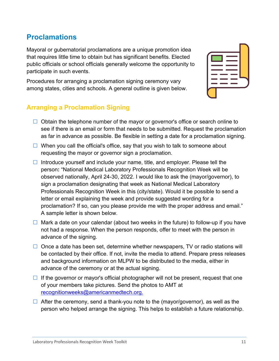Laboratory Professionals Recognition Week Toolkit 11 and 11 and 11 and 11 and 11 and 11 and 11 and 11 and 11 and 11 and 11 and 11 and 11 and 11 and 11 and 11 and 11 and 11 and 11 and 11 and 11 and 11 and 11 and 11 and 11 a

#### **Proclamations**

Mayoral or gubernatorial proclamations are a unique promotion idea that requires little time to obtain but has significant benefits. Elected public officials or school officials generally welcome the opportunity to participate in such events.

Procedures for arranging a proclamation signing ceremony vary among states, cities and schools. A general outline is given below.

#### **Arranging a Proclamation Signing**

- $\Box$  Obtain the telephone number of the mayor or governor's office or search online to see if there is an email or form that needs to be submitted. Request the proclamation as far in advance as possible. Be flexible in setting a date for a proclamation signing.
- $\Box$  When you call the official's office, say that you wish to talk to someone about requesting the mayor or governor sign a proclamation.
- Introduce yourself and include your name, title, and employer. Please tell the person**:** "National Medical Laboratory Professionals Recognition Week will be observed nationally, April 24-30, 2022. I would like to ask the (mayor/governor), to sign a proclamation designating that week as National Medical Laboratory Professionals Recognition Week in this (city/state). Would it be possible to send a letter or email explaining the week and provide suggested wording for a proclamation? If so, can you please provide me with the proper address and email." A sample letter is shown below.
- $\Box$  Mark a date on your calendar (about two weeks in the future) to follow-up if you have not had a response. When the person responds, offer to meet with the person in advance of the signing.
- $\Box$  Once a date has been set, determine whether newspapers, TV or radio stations will be contacted by their office. If not, invite the media to attend. Prepare press releases and background information on MLPW to be distributed to the media, either in advance of the ceremony or at the actual signing.
- $\Box$  If the governor or mayor's official photographer will not be present, request that one of your members take pictures. Send the photos to AMT at [recognitionweeks@americanmedtech.org.](mailto:recognitionweeks@americanmedtech.org)
- $\Box$  After the ceremony, send a thank-you note to the (mayor/governor), as well as the person who helped arrange the signing. This helps to establish a future relationship.

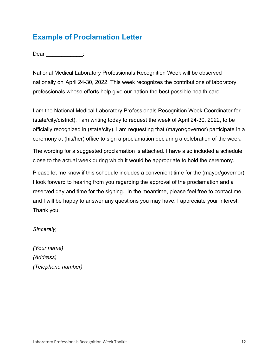#### <span id="page-11-0"></span>**Example of Proclamation Letter**

Dear \_\_\_\_\_\_\_\_\_\_\_:

National Medical Laboratory Professionals Recognition Week will be observed nationally on April 24-30, 2022. This week recognizes the contributions of laboratory professionals whose efforts help give our nation the best possible health care.

I am the National Medical Laboratory Professionals Recognition Week Coordinator for (state/city/district). I am writing today to request the week of April 24-30, 2022, to be officially recognized in (state/city). I am requesting that (mayor/governor) participate in a ceremony at (his/her) office to sign a proclamation declaring a celebration of the week.

The wording for a suggested proclamation is attached. I have also included a schedule close to the actual week during which it would be appropriate to hold the ceremony.

Please let me know if this schedule includes a convenient time for the (mayor/governor). I look forward to hearing from you regarding the approval of the proclamation and a reserved day and time for the signing. In the meantime, please feel free to contact me, and I will be happy to answer any questions you may have. I appreciate your interest. Thank you.

*Sincerely,*

*(Your name) (Address) (Telephone number)*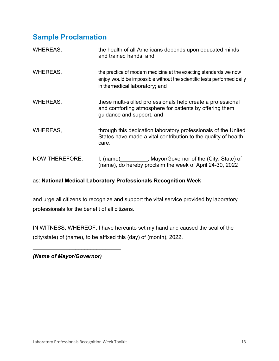#### <span id="page-12-0"></span>**Sample Proclamation**

| <b>WHEREAS,</b> | the health of all Americans depends upon educated minds<br>and trained hands; and                                                                                           |
|-----------------|-----------------------------------------------------------------------------------------------------------------------------------------------------------------------------|
| <b>WHEREAS,</b> | the practice of modern medicine at the exacting standards we now<br>enjoy would be impossible without the scientific tests performed daily<br>in themedical laboratory; and |
| <b>WHEREAS,</b> | these multi-skilled professionals help create a professional<br>and comforting atmosphere for patients by offering them<br>guidance and support, and                        |
| <b>WHEREAS,</b> | through this dedication laboratory professionals of the United<br>States have made a vital contribution to the quality of health<br>care.                                   |
| NOW THEREFORE,  | I, (name) __________, Mayor/Governor of the (City, State) of<br>(name), do hereby proclaim the week of April 24-30, 2022                                                    |

#### as: **National Medical Laboratory Professionals Recognition Week**

and urge all citizens to recognize and support the vital service provided by laboratory professionals for the benefit of all citizens.

IN WITNESS, WHEREOF, I have hereunto set my hand and caused the seal of the (city/state) of (name), to be affixed this (day) of (month), 2022.

*(Name of Mayor/Governor)*

\_\_\_\_\_\_\_\_\_\_\_\_\_\_\_\_\_\_\_\_\_\_\_\_\_\_\_\_\_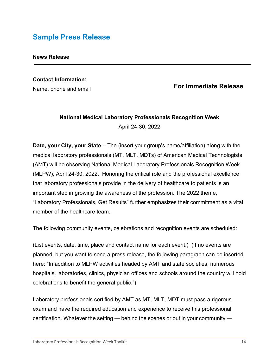#### <span id="page-13-0"></span>**Sample Press Release**

#### **News Release**

#### **Contact Information:**

Name, phone and email

#### **For Immediate Release**

#### **National Medical Laboratory Professionals Recognition Week** April 24-30, 2022

**Date, your City, your State** – The (insert your group's name/affiliation) along with the medical laboratory professionals (MT, MLT, MDTs) of American Medical Technologists (AMT) will be observing National Medical Laboratory Professionals Recognition Week (MLPW), April 24-30, 2022. Honoring the critical role and the professional excellence that laboratory professionals provide in the delivery of healthcare to patients is an important step in growing the awareness of the profession. The 2022 theme, "Laboratory Professionals, Get Results" further emphasizes their commitment as a vital member of the healthcare team.

The following community events, celebrations and recognition events are scheduled:

(List events, date, time, place and contact name for each event.) (If no events are planned, but you want to send a press release, the following paragraph can be inserted here: "In addition to MLPW activities headed by AMT and state societies, numerous hospitals, laboratories, clinics, physician offices and schools around the country will hold celebrations to benefit the general public.")

Laboratory professionals certified by AMT as MT, MLT, MDT must pass a rigorous exam and have the required education and experience to receive this professional certification. Whatever the setting — behind the scenes or out in your community —